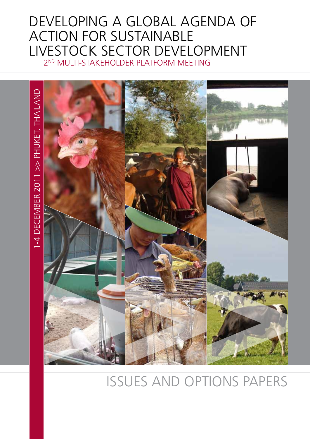# Developing a Global Agenda of Action for Sustainable Livestock Sector Development 2nd Multi-Stakeholder Platform meeting



# issues and options papers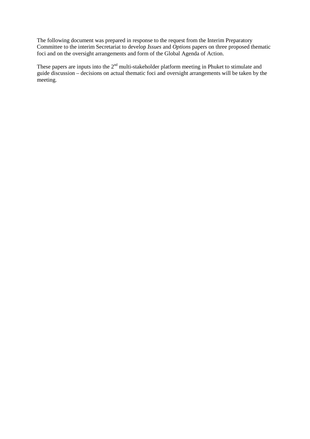The following document was prepared in response to the request from the Interim Preparatory Committee to the interim Secretariat to develop *Issues* and *Options* papers on three proposed thematic foci and on the oversight arrangements and form of the Global Agenda of Action.

These papers are inputs into the 2<sup>nd</sup> multi-stakeholder platform meeting in Phuket to stimulate and guide discussion – decisions on actual thematic foci and oversight arrangements will be taken by the meeting.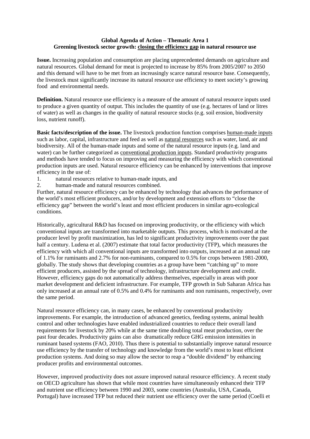# **Global Agenda of Action – Thematic Area 1 Greening livestock sector growth: closing the efficiency gap in natural resource use**

**Issue.** Increasing population and consumption are placing unprecedented demands on agriculture and natural resources. Global demand for meat is projected to increase by 85% from 2005/2007 to 2050 and this demand will have to be met from an increasingly scarce natural resource base. Consequently, the livestock must significantly increase its natural resource use efficiency to meet society's growing food and environmental needs.

**Definition.** Natural resource use efficiency is a measure of the amount of natural resource inputs used to produce a given quantity of output. This includes the quantity of use (e.g. hectares of land or litres of water) as well as changes in the quality of natural resource stocks (e.g. soil erosion, biodiversity loss, nutrient runoff).

**Basic facts/description of the issue.** The livestock production function comprises human-made inputs such as labor, capital, infrastructure and feed as well as natural resources such as water, land, air and biodiversity. All of the human-made inputs and some of the natural resource inputs (e.g. land and water) can be further categorized as conventional production inputs. Standard productivity programs and methods have tended to focus on improving and measuring the efficiency with which conventional production inputs are used. Natural resource efficiency can be enhanced by interventions that improve efficiency in the use of:

- 1. natural resources relative to human-made inputs, and<br>2. human-made and natural resources combined.
- human-made and natural resources combined.

Further, natural resource efficiency can be enhanced by technology that advances the performance of the world's most efficient producers, and/or by development and extension efforts to "close the efficiency gap" between the world's least and most efficient producers in similar agro-ecological conditions.

Historically, agricultural R&D has focused on improving productivity, or the efficiency with which conventional inputs are transformed into marketable outputs. This process, which is motivated at the producer level by profit maximization, has led to significant productivity improvements over the past half a century. Ludena et al. (2007) estimate that total factor productivity (TFP), which measures the efficiency with which all conventional inputs are transformed into outputs, increased at an annual rate of 1.1% for ruminants and 2.7% for non-ruminants, compared to 0.5% for crops between 1981-2000, globally. The study shows that developing countries as a group have been "catching up" to more efficient producers, assisted by the spread of technology, infrastructure development and credit. However, efficiency gaps do not automatically address themselves, especially in areas with poor market development and deficient infrastructure. For example, TFP growth in Sub Saharan Africa has only increased at an annual rate of 0.5% and 0.4% for ruminants and non ruminants, respectively, over the same period.

Natural resource efficiency can, in many cases, be enhanced by conventional productivity improvements. For example, the introduction of advanced genetics, feeding systems, animal health control and other technologies have enabled industrialized countries to reduce their overall land requirements for livestock by 20% while at the same time doubling total meat production, over the past four decades. Productivity gains can also dramatically reduce GHG emission intensities in ruminant based systems (FAO, 2010). Thus there is potential to substantially improve natural resource use efficiency by the transfer of technology and knowledge from the world's most to least efficient production systems. And doing so may allow the sector to reap a "double dividend" by enhancing producer profits and environmental outcomes.

However, improved productivity does not assure improved natural resource efficiency. A recent study on OECD agriculture has shown that while most countries have simultaneously enhanced their TFP and nutrient use efficiency between 1990 and 2003, some countries (Australia, USA, Canada, Portugal) have increased TFP but reduced their nutrient use efficiency over the same period (Coelli et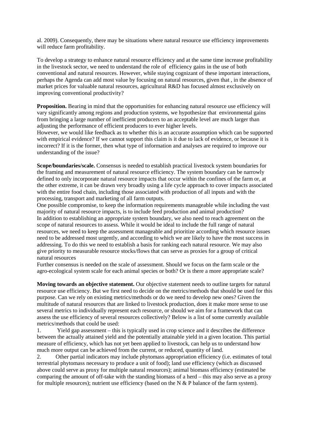al. 2009). Consequently, there may be situations where natural resource use efficiency improvements will reduce farm profitability.

To develop a strategy to enhance natural resource efficiency and at the same time increase profitability in the livestock sector, we need to understand the role of efficiency gains in the use of both conventional and natural resources. However, while staying cognizant of these important interactions, perhaps the Agenda can add most value by focusing on natural resources, given that , in the absence of market prices for valuable natural resources, agricultural R&D has focused almost exclusively on improving conventional productivity?

**Proposition.** Bearing in mind that the opportunities for enhancing natural resource use efficiency will vary significantly among regions and production systems, we hypothesize that environmental gains from bringing a large number of inefficient producers to an acceptable level are much larger than adjusting the performance of efficient producers to ever higher levels.

However, we would like feedback as to whether this is an accurate assumption which can be supported with empirical evidence? If we cannot support this claim is it due to lack of evidence, or because it is incorrect? If it is the former, then what type of information and analyses are required to improve our understanding of the issue?

**Scope/boundaries/scale.** Consensus is needed to establish practical livestock system boundaries for the framing and measurement of natural resource efficiency. The system boundary can be narrowly defined to only incorporate natural resource impacts that occur within the confines of the farm or, at the other extreme, it can be drawn very broadly using a life cycle approach to cover impacts associated with the entire food chain, including those associated with production of all inputs and with the processing, transport and marketing of all farm outputs.

One possible compromise, to keep the information requirements manageable while including the vast majority of natural resource impacts, is to include feed production and animal production? In addition to establishing an appropriate system boundary, we also need to reach agreement on the scope of natural resources to assess. While it would be ideal to include the full range of natural resources, we need to keep the assessment manageable and prioritize according which resource issues need to be addressed most urgently, and according to which we are likely to have the most success in addressing. To do this we need to establish a basis for ranking each natural resource. We may also give priority to measurable resource stocks/flows that can serve as proxies for a group of critical natural resources

Further consensus is needed on the scale of assessment. Should we focus on the farm scale or the agro-ecological system scale for each animal species or both? Or is there a more appropriate scale?

**Moving towards an objective statement.** Our objective statement needs to outline targets for natural resource use efficiency. But we first need to decide on the metrics/methods that should be used for this purpose. Can we rely on existing metrics/methods or do we need to develop new ones? Given the multitude of natural resources that are linked to livestock production, does it make more sense to use several metrics to individually represent each resource, or should we aim for a framework that can assess the use efficiency of several resources collectively? Below is a list of some currently available metrics/methods that could be used:

1. Yield gap assessment – this is typically used in crop science and it describes the difference between the actually attained yield and the potentially attainable yield in a given location. This partial measure of efficiency, which has not yet been applied to livestock, can help us to understand how much more output can be achieved from the current, or reduced, quantity of land.

2. Other partial indicators may include phytomass appropriation efficiency (i.e. estimates of total terrestrial phytomass necessary to produce a unit of food); land use efficiency (which as discussed above could serve as proxy for multiple natural resources); animal biomass efficiency (estimated be comparing the amount of off-take with the standing biomass of a herd – this may also serve as a proxy for multiple resources); nutrient use efficiency (based on the  $N & P$  balance of the farm system).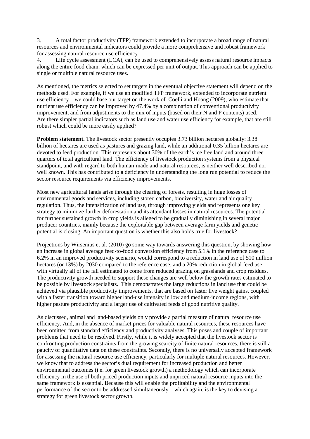3. A total factor productivity (TFP) framework extended to incorporate a broad range of natural resources and environmental indicators could provide a more comprehensive and robust framework for assessing natural resource use efficiency<br>4. Life cycle assessment (LCA), can be

Life cycle assessment (LCA), can be used to comprehensively assess natural resource impacts along the entire food chain, which can be expressed per unit of output. This approach can be applied to single or multiple natural resource uses.

As mentioned, the metrics selected to set targets in the eventual objective statement will depend on the methods used. For example, if we use an modified TFP framework, extended to incorporate nutrient use efficiency – we could base our target on the work of Coelli and Hoang (2009), who estimate that nutrient use efficiency can be improved by 47.4% by a combination of conventional productivity improvement, and from adjustments to the mix of inputs (based on their N and P contents) used. Are there simpler partial indicators such as land use and water use efficiency for example, that are still robust which could be more easily applied?

**Problem statement.** The livestock sector presently occupies 3.73 billion hectares globally: 3.38 billion of hectares are used as pastures and grazing land, while an additional 0.35 billion hectares are devoted to feed production. This represents about 30% of the earth's ice free land and around three quarters of total agricultural land. The efficiency of livestock production systems from a physical standpoint, and with regard to both human-made and natural resources, is neither well described nor well known. This has contributed to a deficiency in understanding the long run potential to reduce the sector resource requirements via efficiency improvements.

Most new agricultural lands arise through the clearing of forests, resulting in huge losses of environmental goods and services, including stored carbon, biodiversity, water and air quality regulation. Thus, the intensification of land use, through improving yields and represents one key strategy to minimize further deforestation and its attendant losses in natural resources. The potential for further sustained growth in crop yields is alleged to be gradually diminishing in several major producer countries, mainly because the exploitable gap between average farm yields and genetic potential is closing. An important question is whether this also holds true for livestock?

Projections by Wirsenius et al. (2010) go some way towards answering this question, by showing how an increase in global average feed-to-food conversion efficiency from 5.1% in the reference case to 6.2% in an improved productivity scenario, would correspond to a reduction in land use of 510 million hectares (or 13%) by 2030 compared to the reference case, and a 20% reduction in global feed use – with virtually all of the fall estimated to come from reduced grazing on grasslands and crop residues. The productivity growth needed to support these changes are well below the growth rates estimated to be possible by livestock specialists. This demonstrates the large reductions in land use that could be achieved via plausible productivity improvements, that are based on faster live weight gains, coupled with a faster transition toward higher land-use intensity in low and medium-income regions, with higher pasture productivity and a larger use of cultivated feeds of good nutritive quality.

As discussed, animal and land-based yields only provide a partial measure of natural resource use efficiency. And, in the absence of market prices for valuable natural resources, these resources have been omitted from standard efficiency and productivity analyses. This poses and couple of important problems that need to be resolved. Firstly, while it is widely accepted that the livestock sector is confronting production constraints from the growing scarcity of finite natural resources, there is still a paucity of quantitative data on these constraints. Secondly, there is no universally accepted framework for assessing the natural resource use efficiency, particularly for multiple natural resources. However, we know that to address the sector's dual requirement for increased production and better environmental outcomes (i.e. for green livestock growth) a methodology which can incorporate efficiency in the use of both priced production inputs and unpriced natural resource inputs into the same framework is essential. Because this will enable the profitability and the environmental performance of the sector to be addressed simultaneously – which again, is the key to devising a strategy for green livestock sector growth.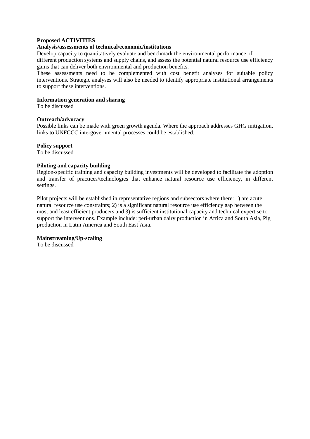#### **Proposed ACTIVITIES**

#### **Analysis/assessments of technical/economic/institutions**

Develop capacity to quantitatively evaluate and benchmark the environmental performance of different production systems and supply chains, and assess the potential natural resource use efficiency gains that can deliver both environmental and production benefits.

These assessments need to be complemented with cost benefit analyses for suitable policy interventions. Strategic analyses will also be needed to identify appropriate institutional arrangements to support these interventions.

#### **Information generation and sharing**

To be discussed

#### **Outreach/advocacy**

Possible links can be made with green growth agenda. Where the approach addresses GHG mitigation, links to UNFCCC intergovernmental processes could be established.

#### **Policy support**

To be discussed

#### **Piloting and capacity building**

Region-specific training and capacity building investments will be developed to facilitate the adoption and transfer of practices/technologies that enhance natural resource use efficiency, in different settings.

Pilot projects will be established in representative regions and subsectors where there: 1) are acute natural resource use constraints; 2) is a significant natural resource use efficiency gap between the most and least efficient producers and 3) is sufficient institutional capacity and technical expertise to support the interventions. Example include: peri-urban dairy production in Africa and South Asia, Pig production in Latin America and South East Asia.

#### **Mainstreaming/Up-scaling**

To be discussed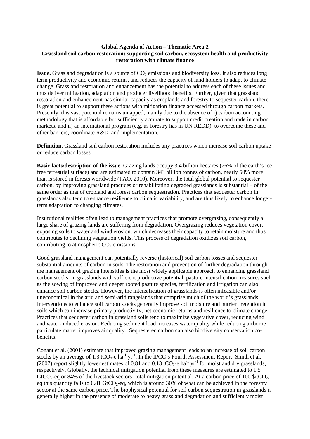#### **Global Agenda of Action – Thematic Area 2 Grassland soil carbon restoration: supporting soil carbon, ecosystem health and productivity restoration with climate finance**

**Issue.** Grassland degradation is a source of CO<sub>2</sub> emissions and biodiversity loss. It also reduces long term productivity and economic returns, and reduces the capacity of land holders to adapt to climate change. Grassland restoration and enhancement has the potential to address each of these issues and thus deliver mitigation, adaptation and producer livelihood benefits. Further, given that grassland restoration and enhancement has similar capacity as croplands and forestry to sequester carbon, there is great potential to support these actions with mitigation finance accessed through carbon markets. Presently, this vast potential remains untapped, mainly due to the absence of i) carbon accounting methodology that is affordable but sufficiently accurate to support credit creation and trade in carbon markets, and ii) an international program (e.g. as forestry has in UN REDD) to overcome these and other barriers, coordinate R&D and implementation.

**Definition.** Grassland soil carbon restoration includes any practices which increase soil carbon uptake or reduce carbon losses.

**Basic facts/description of the issue.** Grazing lands occupy 3.4 billion hectares (26% of the earth's ice free terrestrial surface) and are estimated to contain 343 billion tonnes of carbon, nearly 50% more than is stored in forests worldwide (FAO, 2010). Moreover, the total global potential to sequester carbon, by improving grassland practices or rehabilitating degraded grasslands is substantial – of the same order as that of cropland and forest carbon sequestration. Practices that sequester carbon in grasslands also tend to enhance resilience to climatic variability, and are thus likely to enhance longerterm adaptation to changing climates.

Institutional realities often lead to management practices that promote overgrazing, consequently a large share of grazing lands are suffering from degradation. Overgrazing reduces vegetation cover, exposing soils to water and wind erosion, which decreases their capacity to retain moisture and thus contributes to declining vegetation yields. This process of degradation oxidizes soil carbon, contributing to atmospheric  $CO<sub>2</sub>$  emissions.

Good grassland management can potentially reverse (historical) soil carbon losses and sequester substantial amounts of carbon in soils. The restoration and prevention of further degradation through the management of grazing intensities is the most widely applicable approach to enhancing grassland carbon stocks. In grasslands with sufficient productive potential, pasture intensification measures such as the sowing of improved and deeper rooted pasture species, fertilization and irrigation can also enhance soil carbon stocks. However, the intensification of grasslands is often infeasible and/or uneconomical in the arid and semi-arid rangelands that comprise much of the world's grasslands. Interventions to enhance soil carbon stocks generally improve soil moisture and nutrient retention in soils which can increase primary productivity, net economic returns and resilience to climate change. Practices that sequester carbon in grassland soils tend to maximize vegetative cover, reducing wind and water-induced erosion. Reducing sediment load increases water quality while reducing airborne particulate matter improves air quality. Sequestered carbon can also biodiversity conservation cobenefits.

Conant et al. (2001) estimate that improved grazing management leads to an increase of soil carbon stocks by an average of 1.3 tCO<sub>2</sub>-e ha<sup>-1</sup> yr<sup>-1</sup>. In the IPCC's Fourth Assessment Report, Smith et al. (2007) report slightly lower estimates of 0.81 and 0.13 tCO<sub>2</sub>-e ha<sup>-1</sup> yr<sup>-1</sup> for moist and dry grasslands, respectively. Globally, the technical mitigation potential from these measures are estimated to 1.5 GtCO<sub>2</sub>-eq or 84% of the livestock sectors' total mitigation potential. At a carbon price of 100  $\frac{6}{100}$   $\frac{100}{2}$ eq this quantity falls to  $0.81$  GtCO<sub>2</sub>-eq, which is around 30% of what can be achieved in the forestry sector at the same carbon price. The biophysical potential for soil carbon sequestration in grasslands is generally higher in the presence of moderate to heavy grassland degradation and sufficiently moist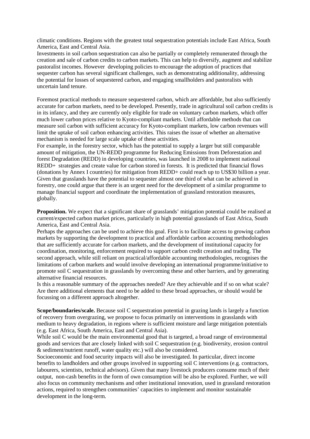climatic conditions. Regions with the greatest total sequestration potentials include East Africa, South America, East and Central Asia.

Investments in soil carbon sequestration can also be partially or completely remunerated through the creation and sale of carbon credits to carbon markets. This can help to diversify, augment and stabilize pastoralist incomes. However developing policies to encourage the adoption of practices that sequester carbon has several significant challenges, such as demonstrating additionality, addressing the potential for losses of sequestered carbon, and engaging smallholders and pastoralists with uncertain land tenure.

Foremost practical methods to measure sequestered carbon, which are affordable, but also sufficiently accurate for carbon markets, need to be developed. Presently, trade in agricultural soil carbon credits is in its infancy, and they are currently only eligible for trade on voluntary carbon markets, which offer much lower carbon prices relative to Kyoto-compliant markets. Until affordable methods that can measure soil carbon with sufficient accuracy for Kyoto-compliant markets, low carbon revenues will limit the uptake of soil carbon enhancing activities. This raises the issue of whether an alternative mechanism is needed for large scale uptake of these activities.

For example, in the forestry sector, which has the potential to supply a larger but still comparable amount of mitigation, the UN-REDD programme for Reducing Emissions from Deforestation and forest Degradation (REDD) in developing countries, was launched in 2008 to implement national REDD+ strategies and create value for carbon stored in forests. It is predicted that financial flows (donations by Annex I countries) for mitigation from REDD+ could reach up to US\$30 billion a year. Given that grasslands have the potential to sequester almost one third of what can be achieved in forestry, one could argue that there is an urgent need for the development of a similar programme to manage financial support and coordinate the implementation of grassland restoration measures, globally.

**Proposition.** We expect that a significant share of grasslands' mitigation potential could be realised at current/expected carbon market prices, particularly in high potential grasslands of East Africa, South America, East and Central Asia.

Perhaps the approaches can be used to achieve this goal. First is to facilitate access to growing carbon markets by supporting the development to practical and affordable carbon accounting methodologies that are sufficiently accurate for carbon markets, and the development of institutional capacity for coordination, monitoring, enforcement required to support carbon credit creation and trading. The second approach, while still reliant on practical/affordable accounting methodologies, recognises the limitations of carbon markets and would involve developing an international programme/initiative to promote soil C sequestration in grasslands by overcoming these and other barriers, and by generating alternative financial resources.

Is this a reasonable summary of the approaches needed? Are they achievable and if so on what scale? Are there additional elements that need to be added to these broad approaches, or should would be focussing on a different approach altogether.

**Scope/boundaries/scale.** Because soil C sequestration potential in grazing lands is largely a function of recovery from overgrazing, we propose to focus primarily on interventions in grasslands with medium to heavy degradation, in regions where is sufficient moisture and large mitigation potentials (e.g. East Africa, South America, East and Central Asia).

While soil C would be the main environmental good that is targeted, a broad range of environmental goods and services that are closely linked with soil C sequestration (e.g. biodiversity, erosion control & sediment/nutrient runoff, water quality etc.) will also be considered.

Socioeconomic and food security impacts will also be investigated. In particular, direct income benefits to landholders and other groups involved in supporting soil C interventions (e.g. contractors, labourers, scientists, technical advisors). Given that many livestock producers consume much of their output, non-cash benefits in the form of own consumption will be also be explored. Further, we will also focus on community mechanisms and other institutional innovation, used in grassland restoration actions, required to strengthen communities' capacities to implement and monitor sustainable development in the long-term.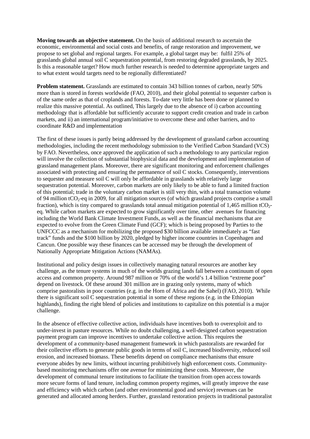**Moving towards an objective statement.** On the basis of additional research to ascertain the economic, environmental and social costs and benefits, of range restoration and improvement, we propose to set global and regional targets. For example, a global target may be: fulfil 25% of grasslands global annual soil C sequestration potential, from restoring degraded grasslands, by 2025. Is this a reasonable target? How much further research is needed to determine appropriate targets and to what extent would targets need to be regionally differentiated?

**Problem statement.** Grasslands are estimated to contain 343 billion tonnes of carbon, nearly 50% more than is stored in forests worldwide (FAO, 2010), and their global potential to sequester carbon is of the same order as that of croplands and forests. To-date very little has been done or planned to realize this massive potential. As outlined, This largely due to the absence of i) carbon accounting methodology that is affordable but sufficiently accurate to support credit creation and trade in carbon markets, and ii) an international program/initiative to overcome these and other barriers, and to coordinate R&D and implementation

The first of these issues is partly being addressed by the development of grassland carbon accounting methodologies, including the recent methodology submission to the Verified Carbon Standard (VCS) by FAO. Nevertheless, once approved the application of such a methodology to any particular region will involve the collection of substantial biophysical data and the development and implementation of grassland management plans. Moreover, there are significant monitoring and enforcement challenges associated with protecting and ensuring the permanence of soil C stocks. Consequently, interventions to sequester and measure soil C will only be affordable in grasslands with relatively large sequestration potential. Moreover, carbon markets are only likely to be able to fund a limited fraction of this potential; trade in the voluntary carbon market is still very thin, with a total transaction volume of 94 million tCO<sub>2</sub>-eq in 2009, for all mitigation sources (of which grassland projects comprise a small fraction), which is tiny compared to grasslands total annual mitigation potential of  $1,465$  million tCO<sub>2</sub>eq. While carbon markets are expected to grow significantly over time, other avenues for financing including the World Bank Climate Investment Funds, as well as the financial mechanisms that are expected to evolve from the Green Climate Fund (GCF); which is being proposed by Parties to the UNFCCC as a mechanism for mobilizing the proposed \$30 billion available immediately as "fast track" funds and the \$100 billion by 2020, pledged by higher income countries in Copenhagen and Cancun. One possible way these finances can be accessed may be through the development of Nationally Appropriate Mitigation Actions (NAMAs).

Institutional and policy design issues in collectively managing natural resources are another key challenge, as the tenure systems in much of the worlds grazing lands fall between a continuum of open access and common property. Around 987 million or 70% of the world's 1.4 billion "extreme poor" depend on livestock. Of these around 301 million are in grazing only systems, many of which comprise pastoralists in poor countries (e.g. in the Horn of Africa and the Sahel) (FAO, 2010). While there is significant soil C sequestration potential in some of these regions (e.g. in the Ethiopian highlands), finding the right blend of policies and institutions to capitalize on this potential is a major challenge.

In the absence of effective collective action, individuals have incentives both to overexploit and to under-invest in pasture resources. While no doubt challenging, a well-designed carbon sequestration payment program can improve incentives to undertake collective action. This requires the development of a community-based management framework in which pastoralists are rewarded for their collective efforts to generate public goods in terms of soil C, increased biodiversity, reduced soil erosion, and increased biomass. These benefits depend on compliance mechanisms that ensure everyone abides by new limits, without incurring prohibitively high enforcement costs. Communitybased monitoring mechanisms offer one avenue for minimizing these costs. Moreover, the development of communal tenure institutions to facilitate the transition from open access towards more secure forms of land tenure, including common property regimes, will greatly improve the ease and efficiency with which carbon (and other environmental good and service) revenues can be generated and allocated among herders. Further, grassland restoration projects in traditional pastoralist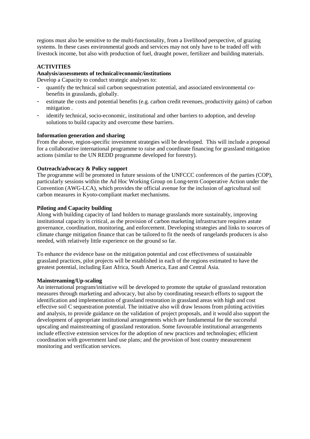regions must also be sensitive to the multi-functionality, from a livelihood perspective, of grazing systems. In these cases environmental goods and services may not only have to be traded off with livestock income, but also with production of fuel, draught power, fertilizer and building materials.

# **ACTIVITIES**

#### **Analysis/assessments of technical/economic/institutions**

Develop a Capacity to conduct strategic analyses to:

- quantify the technical soil carbon sequestration potential, and associated environmental cobenefits in grasslands, globally.
- estimate the costs and potential benefits (e.g. carbon credit revenues, productivity gains) of carbon mitigation .
- identify technical, socio-economic, institutional and other barriers to adoption, and develop solutions to build capacity and overcome these barriers.

#### **Information generation and sharing**

From the above, region-specific investment strategies will be developed. This will include a proposal for a collaborative international programme to raise and coordinate financing for grassland mitigation actions (similar to the UN REDD programme developed for forestry).

# **Outreach/advocacy & Policy support**

The programme will be promoted in future sessions of the UNFCCC conferences of the parties (COP), particularly sessions within the Ad Hoc Working Group on Long-term Cooperative Action under the Convention (AWG-LCA), which provides the official avenue for the inclusion of agricultural soil carbon measures in Kyoto-compliant market mechanisms.

# **Piloting and Capacity building**

Along with building capacity of land holders to manage grasslands more sustainably, improving institutional capacity is critical, as the provision of carbon marketing infrastructure requires astute governance, coordination, monitoring, and enforcement. Developing strategies and links to sources of climate change mitigation finance that can be tailored to fit the needs of rangelands producers is also needed, with relatively little experience on the ground so far.

To enhance the evidence base on the mitigation potential and cost effectiveness of sustainable grassland practices, pilot projects will be established in each of the regions estimated to have the greatest potential, including East Africa, South America, East and Central Asia.

#### **Mainstreaming/Up-scaling**

An international program/initiative will be developed to promote the uptake of grassland restoration measures through marketing and advocacy, but also by coordinating research efforts to support the identification and implementation of grassland restoration in grassland areas with high and cost effective soil C sequestration potential. The initiative also will draw lessons from piloting activities and analysis, to provide guidance on the validation of project proposals, and it would also support the development of appropriate institutional arrangements which are fundamental for the successful upscaling and mainstreaming of grassland restoration. Some favourable institutional arrangements include effective extension services for the adoption of new practices and technologies; efficient coordination with government land use plans; and the provision of host country measurement monitoring and verification services.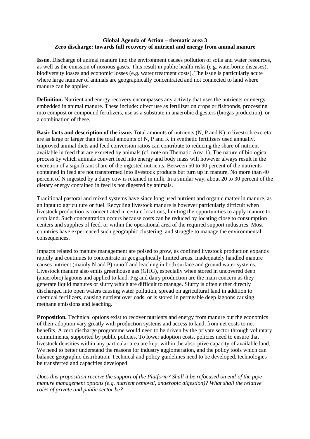# **Global Agenda of Action – thematic area 3 Zero discharge: towards full recovery of nutrient and energy from animal manure**

**Issue.** Discharge of animal manure into the environment causes pollution of soils and water resources, as well as the emission of noxious gases. This result in public health risks (e.g. waterborne diseases), biodiversity losses and economic losses (e.g. water treatment costs). The issue is particularly acute where large number of animals are geographically concentrated and not connected to land where manure can be applied.

**Definition.** Nutrient and energy recovery encompasses any activity that uses the nutrients or energy embedded in animal manure. These include: direct use as fertilizer on crops or fishponds, processing into compost or compound fertilizers, use as a substrate in anaerobic digesters (biogas production), or a combination of these.

**Basic facts and description of the issue.** Total amounts of nutrients (N, P and K) in livestock excreta are as large or larger than the total amounts of N, P and K in synthetic fertilizers used annually. Improved animal diets and feed conversion ratios can contribute to reducing the share of nutrient available in feed that are excreted by animals (cf. note on Thematic Area 1). The nature of biological process by which animals convert feed into energy and body mass will however always result in the excretion of a significant share of the ingested nutrients. Between 50 to 90 percent of the nutrients contained in feed are not transformed into livestock products but turn up in manure. No more than 40 percent of N ingested by a dairy cow is retained in milk. In a similar way, about 20 to 30 percent of the dietary energy contained in feed is not digested by animals.

Traditional pastoral and mixed systems have since long used nutrient and organic matter in manure, as an input to agriculture or fuel. Recycling livestock manure is however particularly difficult when livestock production is concentrated in certain locations, limiting the opportunities to apply manure to crop land. Such concentration occurs because costs can be reduced by locating close to consumption centers and supplies of feed, or within the operational area of the required support industries. Most countries have experienced such geographic clustering, and struggle to manage the environmental consequences.

Impacts related to manure management are poised to grow, as confined livestock production expands rapidly and continues to concentrate in geographically limited areas. Inadequately handled manure causes nutrient (mainly N and P) runoff and leaching in both surface and ground water systems. Livestock manure also emits greenhouse gas (GHG), especially when stored in uncovered deep (anaerobic) lagoons and applied to land. Pig and dairy production are the main concern as they generate liquid manures or slurry which are difficult to manage. Slurry is often either directly discharged into open waters causing water pollution, spread on agricultural land in addition to chemical fertilizers, causing nutrient overloads, or is stored in permeable deep lagoons causing methane emissions and leaching.

**Proposition.** Technical options exist to recover nutrients and energy from manure but the economics of their adoption vary greatly with production systems and access to land, from net costs to net benefits. A zero discharge programme would need to be driven by the private sector through voluntary commitments, supported by public policies. To lower adoption costs, policies need to ensure that livestock densities within any particular area are kept within the absorptive capacity of available land. We need to better understand the reasons for industry agglomeration, and the policy tools which can balance geographic distribution. Technical and policy guidelines need to be developed, technologies be transferred and capacities developed.

*Does this proposition receive the support of the Platform? Shall it be refocused on end-of the pipe manure management options (e.g. nutrient removal, anaerobic digestion)? What shall the relative roles of private and public sector be?*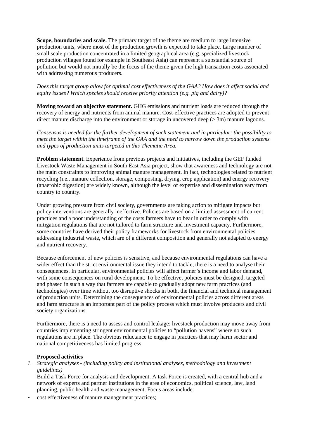**Scope, boundaries and scale.** The primary target of the theme are medium to large intensive production units, where most of the production growth is expected to take place. Large number of small scale production concentrated in a limited geographical area (e.g. specialized livestock production villages found for example in Southeast Asia) can represent a substantial source of pollution but would not initially be the focus of the theme given the high transaction costs associated with addressing numerous producers.

*Does this target group allow for optimal cost effectiveness of the GAA? How does it affect social and equity issues? Which species should receive priority attention (e.g. pig and dairy)?*

**Moving toward an objective statement.** GHG emissions and nutrient loads are reduced through the recovery of energy and nutrients from animal manure. Cost-effective practices are adopted to prevent direct manure discharge into the environment or storage in uncovered deep ( $> 3m$ ) manure lagoons.

*Consensus is needed for the further development of such statement and in particular: the possibility to meet the target within the timeframe of the GAA and the need to narrow down the production systems and types of production units targeted in this Thematic Area.*

**Problem statement.** Experience from previous projects and initiatives, including the GEF funded Livestock Waste Management in South East Asia project, show that awareness and technology are not the main constraints to improving animal manure management. In fact, technologies related to nutrient recycling (i.e., manure collection, storage, composting, drying, crop application) and energy recovery (anaerobic digestion) are widely known, although the level of expertise and dissemination vary from country to country.

Under growing pressure from civil society, governments are taking action to mitigate impacts but policy interventions are generally ineffective. Policies are based on a limited assessment of current practices and a poor understanding of the costs farmers have to bear in order to comply with mitigation regulations that are not tailored to farm structure and investment capacity. Furthermore, some countries have derived their policy frameworks for livestock from environmental policies addressing industrial waste, which are of a different composition and generally not adapted to energy and nutrient recovery.

Because enforcement of new policies is sensitive, and because environmental regulations can have a wider effect than the strict environmental issue they intend to tackle, there is a need to analyse their consequences. In particular, environmental policies will affect farmer's income and labor demand, with some consequences on rural development. To be effective, policies must be designed, targeted and phased in such a way that farmers are capable to gradually adopt new farm practices (and technologies) over time without too disruptive shocks in both, the financial and technical management of production units. Determining the consequences of environmental policies across different areas and farm structure is an important part of the policy process which must involve producers and civil society organizations.

Furthermore, there is a need to assess and control leakage: livestock production may move away from countries implementing stringent environmental policies to "pollution havens" where no such regulations are in place. The obvious reluctance to engage in practices that may harm sector and national competitiveness has limited progress.

#### **Proposed activities**

#### *1. Strategic analyses - (including policy and institutional analyses, methodology and investment guidelines)*

Build a Task Force for analysis and development. A task Force is created, with a central hub and a network of experts and partner institutions in the area of economics, political science, law, land planning, public health and waste management. Focus areas include:

cost effectiveness of manure management practices;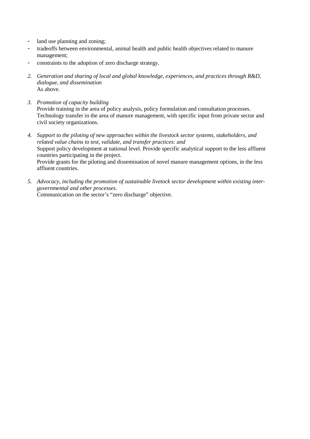- land use planning and zoning;
- tradeoffs between environmental, animal health and public health objectives related to manure management;
- constraints to the adoption of zero discharge strategy.
- *2. Generation and sharing of local and global knowledge, experiences, and practices through R&D, dialogue, and dissemination* As above.
- *3. Promotion of capacity building* Provide training in the area of policy analysis, policy formulation and consultation processes. Technology transfer in the area of manure management, with specific input from private sector and civil society organizations.
- *4. Support to the piloting of new approaches within the livestock sector systems, stakeholders, and related value chains to test, validate, and transfer practices: and* Support policy development at national level. Provide specific analytical support to the less affluent countries participating in the project. Provide grants for the piloting and dissemination of novel manure management options, in the less affluent countries.
- *5. Advocacy, including the promotion of sustainable livetock sector development within existing intergovernmental and other processes.* Communication on the sector's "zero discharge" objective.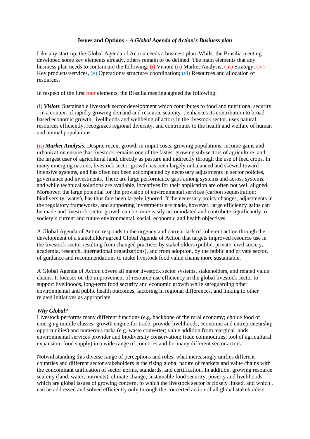#### **Issues and Options –** *A Global Agenda of Action's Business plan*

Like any start-up, the Global Agenda of Action needs a business plan. Whilst the Brasilia meeting developed some key elements already, others remain to be defined. The main elements that any business plan needs to contain are the following: (i) Vision; (ii) Market Analysis, (iii) Strategy; (iv) Key products/services, (v) Operations/ structure/ coordination; (vi) Resources and allocation of resources.

In respect of the first four elements, the Brasilia meeting agreed the following:

(i) *Vision*: Sustainable livestock sector development which contributes to food and nutritional security - in a context of rapidly growing demand and resource scarcity -, enhances its contribution to broadbased economic growth, livelihoods and wellbeing of actors in the livestock sector, uses natural resources efficiently, recognizes regional diversity, and contributes to the health and welfare of human and animal populations.

(ii) *Market Analysis*: Despite recent growth in imput costs, growing populations, income gains and urbanization ensure that livestock remains one of the fastest growing sub-sectors of agriculture, and the largest user of agricultural land, directly as pasture and indirectly through the use of feed crops. In many emerging nations, livestock sector growth has been largely unbalanced and skewed toward intensive systems, and has often not been accompanied by necessary adjustments in sector policies, governance and investments. There are large performance gaps among systems and across systems, and while technical solutions are available, incentives for their application are often not well aligned. Moreover, the large potential for the provision of environmental services (carbon sequestration; biodiversity; water), has thus fare been largely ignored. If the necessary policy changes, adjustments in the regulatory frameworks, and supporting investments are made, however, large efficiency gains can be made and livestock sector growth can be more easily accomodated and contribute significantly to society's current and future environmental, social, economic and health objectives.

A Global Agenda of Action responds to the urgency and current lack of coherent action through the development of a stakeholder agreed Global Agenda of Action that targets improved resource use in the livestock sector resulting from changed practices by stakeholders (public, private, civil society, academia, research, international organizations), and from adoption, by the public and private sector, of guidance and recommendations to make livestock food value chains more sustainable.

A Global Agenda of Action covers all major livestock sector systems, stakeholders, and related value chains. It focuses on the improvement of resource-use efficiency in the global livestock sector to support livelihoods, long-term food security and economic growth while safeguarding other environmental and public health outcomes, factoring in regional differences, and linking to other related initiatives as appropriate.

#### *Why Global?*

Livestock performs many different functions (e.g. backbone of the rural economy; choice food of emerging middle classes; growth engine for trade; provide livelihoods; economic and entrepreneurship opportunities) and numerous tasks (e.g. waste converter; value addition from marginal lands; environmental services provider and biodiversity conservation; trade commodities; tool of agricultural expansion; food supply) in a wide range of countries and for many different sector actors.

Notwithstanding this diverse range of perceptions and roles, what increasingly unifies different countries and different sector stakeholders is the rising global nature of markets and value chains with the concomitant unification of sector norms, standards, and certification. In addition, growing resource scarcity (land, water, nutrients), climate change, sustainable food security, poverty and livelihoods which are global issues of growing concern, to which the livestock sector is closely linked, and which. can be addressed and solved efficiently only through the concerted action of all global stakeholders.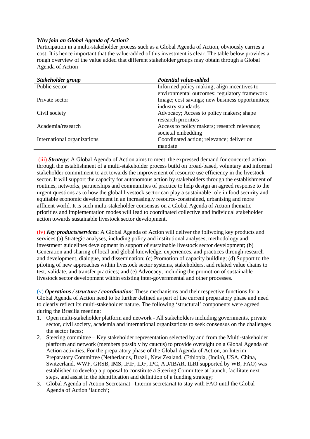# *Why join an Global Agenda of Action?*

Participation in a multi-stakeholder process such as a Global Agenda of Action, obviously carries a cost. It is hence important that the value-added of this investment is clear. The table below provides a rough overview of the value added that different stakeholder groups may obtain through a Global Agenda of Action

| Stakeholder group           | Potential value-added                            |
|-----------------------------|--------------------------------------------------|
| Public sector               | Informed policy making; align incentives to      |
|                             | environmental outcomes; regulatory framework     |
| Private sector              | Image; cost savings; new business opportunities; |
|                             | industry standards                               |
| Civil society               | Advocacy; Access to policy makers; shape         |
|                             | research priorities                              |
| Academia/research           | Access to policy makers; research relevance;     |
|                             | societal embedding                               |
| International organizations | Coordinated action; relevance; deliver on        |
|                             | mandate                                          |

(iii) *Strategy*: A Global Agenda of Action aims to meet the expressed demand for concerted action through the establishment of a multi-stakeholder process build on broad-based, voluntary and informal stakeholder commitment to act towards the improvement of resource use efficiency in the livestock sector. It will support the capacity for autonomous action by stakeholders through the establishment of routines, networks, partnerships and communities of practice to help design an agreed response to the urgent questions as to how the global livestock sector can play a sustainable role in food security and equitable economic development in an increasingly resource-constrained, urbanising and more affluent world. It is such multi-stakeholder consensus on a Global Agenda of Action thematic priorities and implementation modes will lead to coordinated collective and individual stakeholder action towards sustainable livestock sector development.

(iv) *Key products/services*: A Global Agenda of Action will deliver the follwoing key products and services (a) Strategic analyses, including policy and institutional analyses, methodology and investment guidelines development in support of sustainable livestock sector development; (b) Generation and sharing of local and global knowledge, experiences, and practices through research and development, dialogue, and dissemination; (c) Promotion of capacity building; (d) Support to the piloting of new approaches within livestock sector systems, stakeholders, and related value chains to test, validate, and transfer practices; and (e) Advocacy, including the promotion of sustainable livestock sector development within existing inter-governmental and other processes.

(v) *Operations / structure / coordination*: These mechanisms and their respective functions for a Global Agenda of Action need to be further defined as part of the current preparatory phase and need to clearly reflect its multi-stakeholder nature. The following 'structural' components were agreed during the Brasilia meeting:

- 1. Open multi-stakeholder platform and network All stakeholders including governments, private sector, civil society, academia and international organizations to seek consensus on the challenges the sector faces;
- 2. Steering committee Key stakeholder representation selected by and from the Multi-stakeholder platform and network (members possibly by caucus) to provide oversight on a Global Agenda of Action activities. For the preparatory phase of the Global Agenda of Action, an Interim Preparatory Committee (Netherlands, Brazil, New Zealand, (Ethiopia, (India), USA, China, Switzerland. WWF, GRSB, IMS, IFIF, IDF, IPC, AU/IBAR, ILRI supported by WB, FAO) was established to develop a proposal to constitute a Steering Committee at launch, facilitate next steps, and assist in the identification and definition of a funding strategy;
- 3. Global Agenda of Action Secretariat –Interim secretariat to stay with FAO until the Global Agenda of Action 'launch';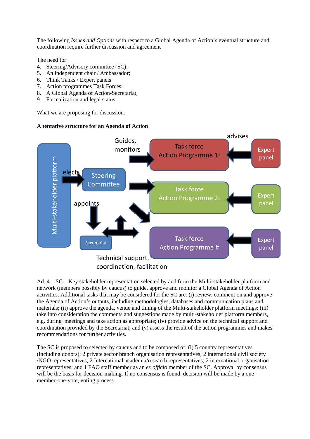The following *Issues and Options* with respect to a Global Agenda of Action's eventual structure and coordination require further discussion and agreement

The need for:

- 4. Steering/Advisory committee (SC);
- 5. An independent chair / Ambassador;
- 6. Think Tanks / Expert panels
- 7. Action programmes Task Forces;
- 8. A Global Agenda of Action-Secretariat;
- 9. Formalization and legal status;

What we are proposing for discussion:

# **A tentative structure for an Agenda of Action**



Ad. 4. SC – Key stakeholder representation selected by and from the Multi-stakeholder platform and network (members possibly by caucus) to guide, approve and monitor a Global Agenda of Action activities. Additional tasks that may be considered for the SC are: (i) review, comment on and approve the Agenda of Action's outputs, including methodologies, databases and communication plans and materials; (ii) approve the agenda, venue and timing of the Multi-stakeholder platform meetings; (iii) take into consideration the comments and suggestions made by multi-stakeholder platform members, e.g. during meetings and take action as appropriate; (iv) provide advice on the technical support and coordination provided by the Secretariat; and (v) assess the result of the action programmes and makes recommendations for further activities.

The SC is proposed to selected by caucus and to be composed of: (i) 5 country representatives (including donors); 2 private sector branch organisation representatives; 2 international civil society /NGO representatives; 2 International academia/research representatives; 2 international organisation representatives; and 1 FAO staff member as an *ex officio* member of the SC. Approval by consensus will be the basis for decision-making. If no consensus is found, decision will be made by a onemember-one-vote, voting process.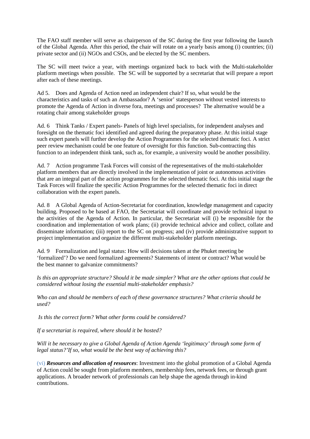The FAO staff member will serve as chairperson of the SC during the first year following the launch of the Global Agenda. After this period, the chair will rotate on a yearly basis among (i) countries; (ii) private sector and (ii) NGOs and CSOs, and be elected by the SC members.

The SC will meet twice a year, with meetings organized back to back with the Multi-stakeholder platform meetings when possible. The SC will be supported by a secretariat that will prepare a report after each of these meetings.

Ad 5. Does and Agenda of Action need an independent chair? If so, what would be the characteristics and tasks of such an Ambassador? A 'senior' statesperson without vested interests to promote the Agenda of Action in diverse fora, meetings and processes? The alternative would be a rotating chair among stakeholder groups

Ad. 6 Think Tanks / Expert panels- Panels of high level specialists, for independent analyses and foresight on the thematic foci identified and agreed during the preparatory phase. At this initial stage such expert panels will further develop the Action Programmes for the selected thematic foci. A strict peer review mechanism could be one feature of oversight for this function. Sub-contracting this function to an independent think tank, such as, for example, a university would be another possibility.

Ad. 7 Action programme Task Forces will consist of the representatives of the multi-stakeholder platform members that are directly involved in the implementation of joint or autonomous activities that are an integral part of the action programmes for the selected thematic foci. At this initial stage the Task Forces will finalize the specific Action Programmes for the selected thematic foci in direct collaboration with the expert panels.

Ad. 8 A Global Agenda of Action-Secretariat for coordination, knowledge management and capacity building. Proposed to be based at FAO, the Secretariat will coordinate and provide technical input to the activities of the Agenda of Action. In particular, the Secretariat will (i) be responsible for the coordination and implementation of work plans; (ii) provide technical advice and collect, collate and disseminate information; (iii) report to the SC on progress; and (iv) provide administrative support to project implementation and organize the different multi-stakeholder platform meetings.

Ad. 9 Formalization and legal status: How will decisions taken at the Phuket meeting be 'formalized'? Do we need formalized agreements? Statements of intent or contract? What would be the best manner to galvanize commitments?

*Is this an appropriate structure? Should it be made simpler? What are the other options that could be considered without losing the essential multi-stakeholder emphasis?*

*Who can and should be members of each of these governance structures? What criteria should be used?*

*Is this the correct form? What other forms could be considered?*

*If a secretariat is required, where should it be hosted?*

*Will it be necessary to give a Global Agenda of Action Agenda 'legitimacy' through some form of legal status?'If so, what would be the best way of achieving this?*

(vi) *Resources and allocation of resources*: Investment into the global promotion of a Global Agenda of Action could be sought from platform members, membership fees, network fees, or through grant applications. A broader network of professionals can help shape the agenda through in-kind contributions.